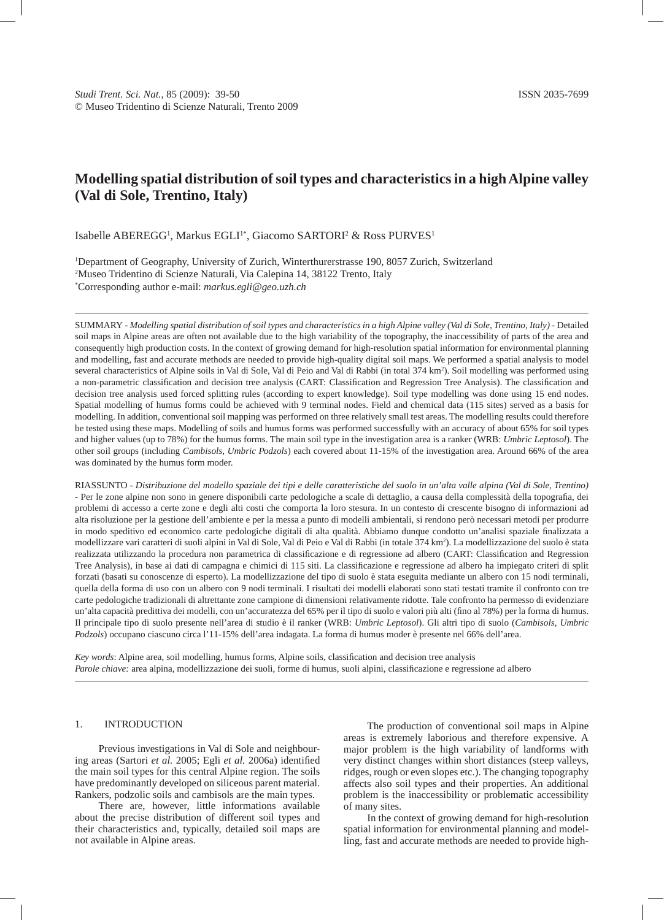# **Modelling spatial distribution of soil types and characteristics in a high Alpine valley (Val di Sole, Trentino, Italy)**

Isabelle ABEREGG<sup>1</sup>, Markus EGLI<sup>1\*</sup>, Giacomo SARTORI<sup>2</sup> & Ross PURVES<sup>1</sup>

1 Department of Geography, University of Zurich, Winterthurerstrasse 190, 8057 Zurich, Switzerland 2 Museo Tridentino di Scienze Naturali, Via Calepina 14, 38122 Trento, Italy \* Corresponding author e-mail: *markus.egli@geo.uzh.ch*

SUMMARY - *Modelling spatial distribution of soil types and characteristics in a high Alpine valley (Val di Sole, Trentino, Italy)* - Detailed soil maps in Alpine areas are often not available due to the high variability of the topography, the inaccessibility of parts of the area and consequently high production costs. In the context of growing demand for high-resolution spatial information for environmental planning and modelling, fast and accurate methods are needed to provide high-quality digital soil maps. We performed a spatial analysis to model several characteristics of Alpine soils in Val di Sole, Val di Peio and Val di Rabbi (in total 374 km<sup>2</sup>). Soil modelling was performed using a non-parametric classification and decision tree analysis (CART: Classification and Regression Tree Analysis). The classification and decision tree analysis used forced splitting rules (according to expert knowledge). Soil type modelling was done using 15 end nodes. Spatial modelling of humus forms could be achieved with 9 terminal nodes. Field and chemical data (115 sites) served as a basis for modelling. In addition, conventional soil mapping was performed on three relatively small test areas. The modelling results could therefore be tested using these maps. Modelling of soils and humus forms was performed successfully with an accuracy of about 65% for soil types and higher values (up to 78%) for the humus forms. The main soil type in the investigation area is a ranker (WRB: *Umbric Leptosol*). The other soil groups (including *Cambisols*, *Umbric Podzols*) each covered about 11-15% of the investigation area. Around 66% of the area was dominated by the humus form moder.

RIASSUNTO - *Distribuzione del modello spaziale dei tipi e delle caratteristiche del suolo in un'alta valle alpina (Val di Sole, Trentino)* - Per le zone alpine non sono in genere disponibili carte pedologiche a scale di dettaglio, a causa della complessità della topografia, dei problemi di accesso a certe zone e degli alti costi che comporta la loro stesura. In un contesto di crescente bisogno di informazioni ad alta risoluzione per la gestione dell'ambiente e per la messa a punto di modelli ambientali, si rendono però necessari metodi per produrre in modo speditivo ed economico carte pedologiche digitali di alta qualità. Abbiamo dunque condotto un'analisi spaziale finalizzata a modellizzare vari caratteri di suoli alpini in Val di Sole, Val di Peio e Val di Rabbi (in totale 374 km<sup>2</sup>). La modellizzazione del suolo è stata realizzata utilizzando la procedura non parametrica di classificazione e di regressione ad albero (CART: Classification and Regression Tree Analysis), in base ai dati di campagna e chimici di 115 siti. La classificazione e regressione ad albero ha impiegato criteri di split forzati (basati su conoscenze di esperto). La modellizzazione del tipo di suolo è stata eseguita mediante un albero con 15 nodi terminali, quella della forma di uso con un albero con 9 nodi terminali. I risultati dei modelli elaborati sono stati testati tramite il confronto con tre carte pedologiche tradizionali di altrettante zone campione di dimensioni relativamente ridotte. Tale confronto ha permesso di evidenziare un'alta capacità predittiva dei modelli, con un'accuratezza del 65% per il tipo di suolo e valori più alti (fino al 78%) per la forma di humus. Il principale tipo di suolo presente nell'area di studio è il ranker (WRB: *Umbric Leptosol*). Gli altri tipo di suolo (*Cambisols*, *Umbric Podzols*) occupano ciascuno circa l'11-15% dell'area indagata. La forma di humus moder è presente nel 66% dell'area.

*Key words*: Alpine area, soil modelling, humus forms, Alpine soils, classification and decision tree analysis *Parole chiave:* area alpina, modellizzazione dei suoli, forme di humus, suoli alpini, classificazione e regressione ad albero

### 1. INTRODUCTION

Previous investigations in Val di Sole and neighbouring areas (Sartori *et al.* 2005; Egli *et al.* 2006a) identified the main soil types for this central Alpine region. The soils have predominantly developed on siliceous parent material. Rankers, podzolic soils and cambisols are the main types.

There are, however, little informations available about the precise distribution of different soil types and their characteristics and, typically, detailed soil maps are not available in Alpine areas.

The production of conventional soil maps in Alpine areas is extremely laborious and therefore expensive. A major problem is the high variability of landforms with very distinct changes within short distances (steep valleys, ridges, rough or even slopes etc.). The changing topography affects also soil types and their properties. An additional problem is the inaccessibility or problematic accessibility of many sites.

In the context of growing demand for high-resolution spatial information for environmental planning and modelling, fast and accurate methods are needed to provide high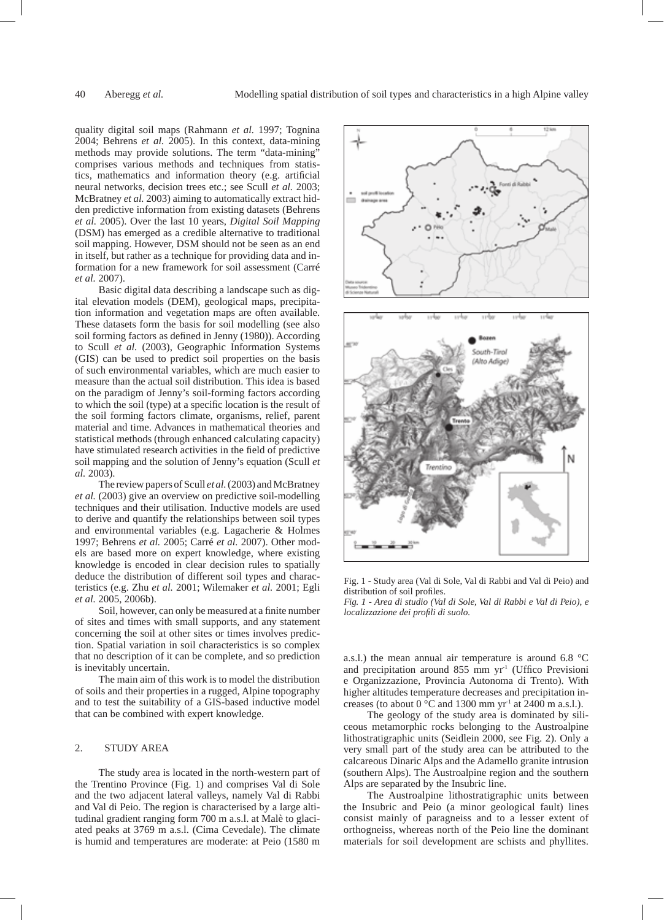quality digital soil maps (Rahmann *et al.* 1997; Tognina 2004; Behrens *et al.* 2005). In this context, data-mining methods may provide solutions. The term "data-mining" comprises various methods and techniques from statistics, mathematics and information theory (e.g. artificial neural networks, decision trees etc.; see Scull *et al.* 2003; McBratney *et al.* 2003) aiming to automatically extract hidden predictive information from existing datasets (Behrens *et al.* 2005). Over the last 10 years, *Digital Soil Mapping* (DSM) has emerged as a credible alternative to traditional soil mapping. However, DSM should not be seen as an end in itself, but rather as a technique for providing data and information for a new framework for soil assessment (Carré *et al.* 2007).

Basic digital data describing a landscape such as digital elevation models (DEM), geological maps, precipitation information and vegetation maps are often available. These datasets form the basis for soil modelling (see also soil forming factors as defined in Jenny (1980)). According to Scull *et al.* (2003), Geographic Information Systems (GIS) can be used to predict soil properties on the basis of such environmental variables, which are much easier to measure than the actual soil distribution. This idea is based on the paradigm of Jenny's soil-forming factors according to which the soil (type) at a specific location is the result of the soil forming factors climate, organisms, relief, parent material and time. Advances in mathematical theories and statistical methods (through enhanced calculating capacity) have stimulated research activities in the field of predictive soil mapping and the solution of Jenny's equation (Scull *et al.* 2003).

The review papers of Scull *et al.* (2003) and McBratney *et al.* (2003) give an overview on predictive soil-modelling techniques and their utilisation. Inductive models are used to derive and quantify the relationships between soil types and environmental variables (e.g. Lagacherie & Holmes 1997; Behrens *et al.* 2005; Carré *et al.* 2007). Other models are based more on expert knowledge, where existing knowledge is encoded in clear decision rules to spatially deduce the distribution of different soil types and characteristics (e.g. Zhu *et al.* 2001; Wilemaker *et al.* 2001; Egli *et al.* 2005, 2006b).

Soil, however, can only be measured at a finite number of sites and times with small supports, and any statement concerning the soil at other sites or times involves prediction. Spatial variation in soil characteristics is so complex that no description of it can be complete, and so prediction is inevitably uncertain.

The main aim of this work is to model the distribution of soils and their properties in a rugged, Alpine topography and to test the suitability of a GIS-based inductive model that can be combined with expert knowledge.

## 2. STUDY AREA

The study area is located in the north-western part of the Trentino Province (Fig. 1) and comprises Val di Sole and the two adjacent lateral valleys, namely Val di Rabbi and Val di Peio. The region is characterised by a large altitudinal gradient ranging form 700 m a.s.l. at Malè to glaciated peaks at 3769 m a.s.l. (Cima Cevedale). The climate is humid and temperatures are moderate: at Peio (1580 m





*Fig. 1* - *Area di studio (Val di Sole, Val di Rabbi e Val di Peio), e localizzazione dei profili di suolo.*

a.s.l.) the mean annual air temperature is around 6.8 °C and precipitation around 855 mm yr<sup>1</sup> (Uffico Previsioni e Organizzazione, Provincia Autonoma di Trento). With higher altitudes temperature decreases and precipitation increases (to about  $0^{\circ}$ C and 1300 mm yr<sup>-1</sup> at 2400 m a.s.l.).

The geology of the study area is dominated by siliceous metamorphic rocks belonging to the Austroalpine lithostratigraphic units (Seidlein 2000, see Fig. 2). Only a very small part of the study area can be attributed to the calcareous Dinaric Alps and the Adamello granite intrusion (southern Alps). The Austroalpine region and the southern Alps are separated by the Insubric line.

The Austroalpine lithostratigraphic units between the Insubric and Peio (a minor geological fault) lines consist mainly of paragneiss and to a lesser extent of orthogneiss, whereas north of the Peio line the dominant materials for soil development are schists and phyllites.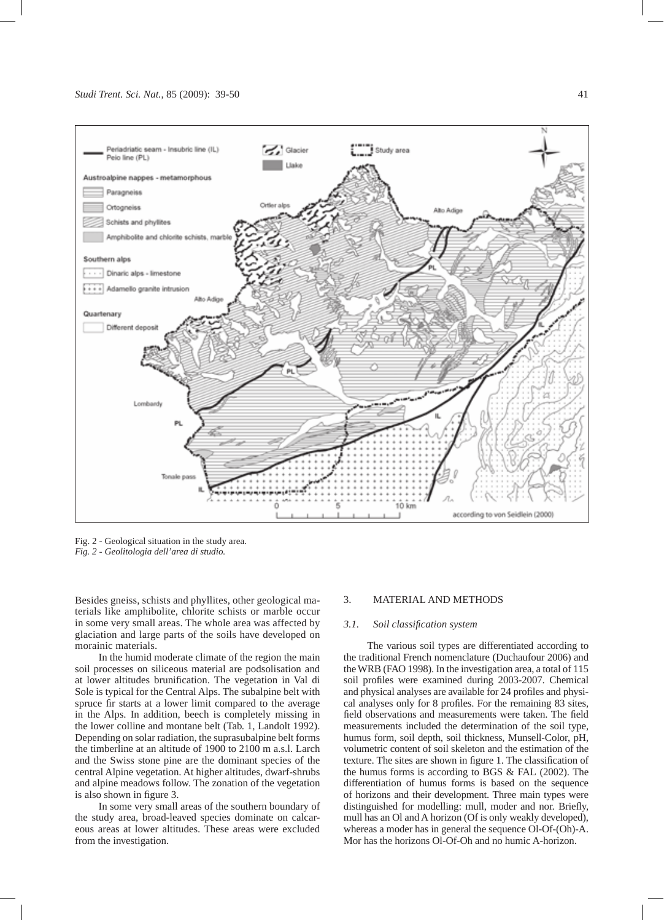

Fig. 2 - Geological situation in the study area. *Fig. 2 - Geolitologia dell'area di studio.*

Besides gneiss, schists and phyllites, other geological materials like amphibolite, chlorite schists or marble occur in some very small areas. The whole area was affected by glaciation and large parts of the soils have developed on morainic materials.

In the humid moderate climate of the region the main soil processes on siliceous material are podsolisation and at lower altitudes brunification. The vegetation in Val di Sole is typical for the Central Alps. The subalpine belt with spruce fir starts at a lower limit compared to the average in the Alps. In addition, beech is completely missing in the lower colline and montane belt (Tab. 1, Landolt 1992). Depending on solar radiation, the suprasubalpine belt forms the timberline at an altitude of 1900 to 2100 m a.s.l. Larch and the Swiss stone pine are the dominant species of the central Alpine vegetation. At higher altitudes, dwarf-shrubs and alpine meadows follow. The zonation of the vegetation is also shown in figure 3.

In some very small areas of the southern boundary of the study area, broad-leaved species dominate on calcareous areas at lower altitudes. These areas were excluded from the investigation.

#### 3. MATERIAL AND METHODS

# *3.1. Soil classification system*

The various soil types are differentiated according to the traditional French nomenclature (Duchaufour 2006) and the WRB (FAO 1998). In the investigation area, a total of 115 soil profiles were examined during 2003-2007. Chemical and physical analyses are available for 24 profiles and physical analyses only for 8 profiles. For the remaining 83 sites, field observations and measurements were taken. The field measurements included the determination of the soil type, humus form, soil depth, soil thickness, Munsell-Color, pH, volumetric content of soil skeleton and the estimation of the texture. The sites are shown in figure 1. The classification of the humus forms is according to BGS & FAL (2002). The differentiation of humus forms is based on the sequence of horizons and their development. Three main types were distinguished for modelling: mull, moder and nor. Briefly, mull has an Ol and A horizon (Of is only weakly developed), whereas a moder has in general the sequence Ol-Of-(Oh)-A. Mor has the horizons Ol-Of-Oh and no humic A-horizon.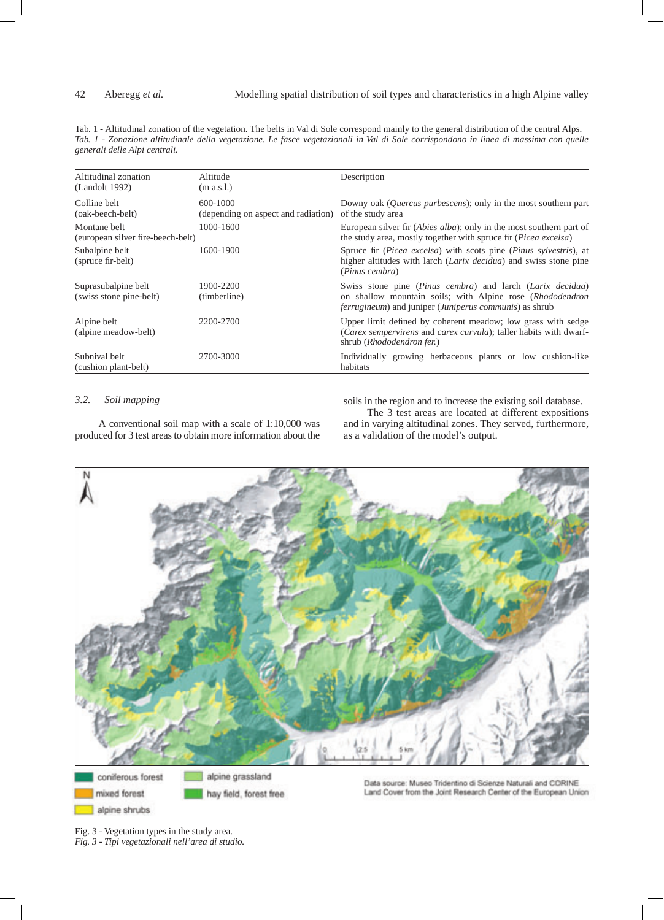Tab. 1 - Altitudinal zonation of the vegetation. The belts in Val di Sole correspond mainly to the general distribution of the central Alps. *Tab. 1 - Zonazione altitudinale della vegetazione. Le fasce vegetazionali in Val di Sole corrispondono in linea di massima con quelle generali delle Alpi centrali.*

| Altitudinal zonation<br>(Landolt 1992)            | Altitude<br>(m a.s.l.)                          | Description                                                                                                                                                                                       |
|---------------------------------------------------|-------------------------------------------------|---------------------------------------------------------------------------------------------------------------------------------------------------------------------------------------------------|
| Colline belt<br>(oak-beech-belt)                  | 600-1000<br>(depending on aspect and radiation) | Downy oak ( <i>Quercus purbescens</i> ); only in the most southern part<br>of the study area                                                                                                      |
| Montane belt<br>(european silver fire-beech-belt) | 1000-1600                                       | European silver fir ( <i>Abies alba</i> ); only in the most southern part of<br>the study area, mostly together with spruce fir ( <i>Picea excelsa</i> )                                          |
| Subalpine belt<br>(spruce fir-belt)               | 1600-1900                                       | Spruce fir ( <i>Picea excelsa</i> ) with scots pine ( <i>Pinus sylvestris</i> ), at<br>higher altitudes with larch (Larix decidua) and swiss stone pine<br>(Pinus cembra)                         |
| Suprasubalpine belt<br>(swiss stone pine-belt)    | 1900-2200<br>(timberline)                       | Swiss stone pine (Pinus cembra) and larch (Larix decidua)<br>on shallow mountain soils; with Alpine rose (Rhododendron<br><i>ferrugineum</i> ) and juniper ( <i>Juniperus communis</i> ) as shrub |
| Alpine belt<br>(alpine meadow-belt)               | 2200-2700                                       | Upper limit defined by coherent meadow; low grass with sedge<br>(Carex sempervirens and carex curvula); taller habits with dwarf-<br>shrub (Rhododendron fer.)                                    |
| Subnival belt<br>(cushion plant-belt)             | 2700-3000                                       | Individually growing herbaceous plants or low cushion-like<br>habitats                                                                                                                            |

# *3.2. Soil mapping*

soils in the region and to increase the existing soil database.

A conventional soil map with a scale of 1:10,000 was produced for 3 test areas to obtain more information about the

The 3 test areas are located at different expositions and in varying altitudinal zones. They served, furthermore, as a validation of the model's output.



Fig. 3 - Vegetation types in the study area. *Fig. 3 - Tipi vegetazionali nell'area di studio.*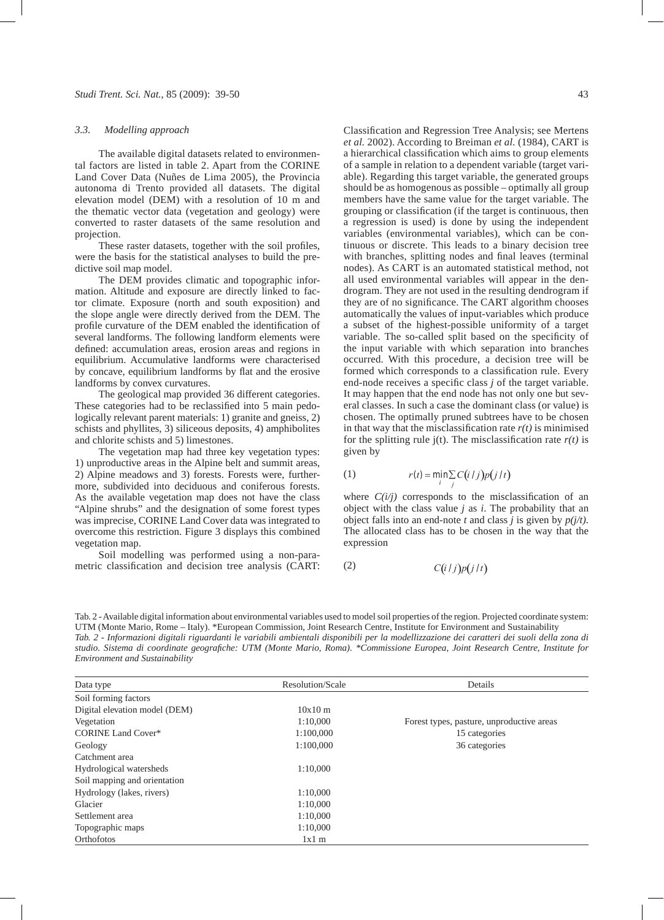#### *3.3. Modelling approach*

The available digital datasets related to environmental factors are listed in table 2. Apart from the CORINE Land Cover Data (Nuñes de Lima 2005), the Provincia autonoma di Trento provided all datasets. The digital elevation model (DEM) with a resolution of 10 m and the thematic vector data (vegetation and geology) were converted to raster datasets of the same resolution and projection.

These raster datasets, together with the soil profiles, were the basis for the statistical analyses to build the predictive soil map model.

The DEM provides climatic and topographic information. Altitude and exposure are directly linked to factor climate. Exposure (north and south exposition) and the slope angle were directly derived from the DEM. The profile curvature of the DEM enabled the identification of several landforms. The following landform elements were defined: accumulation areas, erosion areas and regions in equilibrium. Accumulative landforms were characterised by concave, equilibrium landforms by flat and the erosive landforms by convex curvatures.

The geological map provided 36 different categories. These categories had to be reclassified into 5 main pedologically relevant parent materials: 1) granite and gneiss, 2) schists and phyllites, 3) siliceous deposits, 4) amphibolites and chlorite schists and 5) limestones.

The vegetation map had three key vegetation types: 1) unproductive areas in the Alpine belt and summit areas, 2) Alpine meadows and 3) forests. Forests were, further-  $(1)$   $r(t) = min$ more, subdivided into deciduous and coniferous forests. As the available vegetation map does not have the class "Alpine shrubs" and the designation of some forest types was imprecise, CORINE Land Cover data was integrated to overcome this restriction. Figure 3 displays this combined vegetation map.

Soil modelling was performed using a non-parametric classification and decision tree analysis (CART:

Classification and Regression Tree Analysis; see Mertens *et al.* 2002). According to Breiman *et al.* (1984), CART is a hierarchical classification which aims to group elements of a sample in relation to a dependent variable (target variable). Regarding this target variable, the generated groups should be as homogenous as possible – optimally all group members have the same value for the target variable. The grouping or classification (if the target is continuous, then a regression is used) is done by using the independent variables (environmental variables), which can be continuous or discrete. This leads to a binary decision tree with branches, splitting nodes and final leaves (terminal nodes). As CART is an automated statistical method, not all used environmental variables will appear in the dendrogram. They are not used in the resulting dendrogram if they are of no significance. The CART algorithm chooses automatically the values of input-variables which produce a subset of the highest-possible uniformity of a target variable. The so-called split based on the specificity of the input variable with which separation into branches occurred. With this procedure, a decision tree will be formed which corresponds to a classification rule. Every end-node receives a specific class *j* of the target variable. It may happen that the end node has not only one but several classes. In such a case the dominant class (or value) is chosen. The optimally pruned subtrees have to be chosen  $\frac{1}{2}$  is minimised in that way that the misclassification rate  $r(t)$  is minimised for the splitting rule  $j(t)$ . The misclassification rate  $r(t)$  is given by

1) 
$$
r(t) = \min_{i} \sum_{j} C(i/j) p(j/t)
$$

where  $C(i/j)$  corresponds to the misclassification of an object with the class value *j* as *i*. The probability that an object falls into an end-note *t* and class *j* is given by *p(j/t)*. The allocated class has to be chosen in the way that the expression

$$
C(i/j)p(j/t)
$$

Tab. 2 - Available digital information about environmental variables used to model soil properties of the region. Projected coordinate system: UTM (Monte Mario, Rome – Italy). \*European Commission, Joint Research Centre, Institute for Environment and Sustainability *Tab. 2 - Informazioni digitali riguardanti le variabili ambientali disponibili per la modellizzazione dei caratteri dei suoli della zona di studio. Sistema di coordinate geografiche: UTM (Monte Mario, Roma). \*Commissione Europea, Joint Research Centre, Institute for Environment and Sustainability*

| Data type                     | Resolution/Scale | Details                                   |
|-------------------------------|------------------|-------------------------------------------|
| Soil forming factors          |                  |                                           |
| Digital elevation model (DEM) | 10x10m           |                                           |
| Vegetation                    | 1:10.000         | Forest types, pasture, unproductive areas |
| <b>CORINE Land Cover*</b>     | 1:100,000        | 15 categories                             |
| Geology                       | 1:100.000        | 36 categories                             |
| Catchment area                |                  |                                           |
| Hydrological watersheds       | 1:10.000         |                                           |
| Soil mapping and orientation  |                  |                                           |
| Hydrology (lakes, rivers)     | 1:10.000         |                                           |
| Glacier                       | 1:10.000         |                                           |
| Settlement area               | 1:10.000         |                                           |
| Topographic maps              | 1:10.000         |                                           |
| Orthofotos                    | $1x1$ m          |                                           |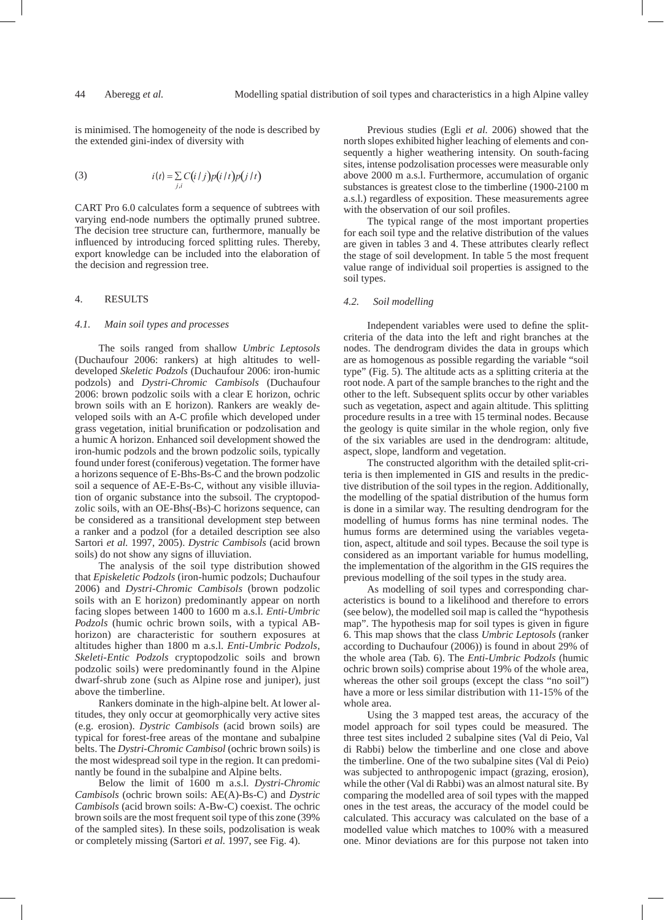is minimised. The homogeneity of the node is described by the extended gini-index of diversity with

(3) 
$$
i(t) = \sum_{j,i} C(i/j)p(i/t)p(j/t)
$$

CART Pro 6.0 calculates form a sequence of subtrees with varying end-node numbers the optimally pruned subtree. The decision tree structure can, furthermore, manually be influenced by introducing forced splitting rules. Thereby, export knowledge can be included into the elaboration of the decision and regression tree.

# 4. RESULTS

#### *4.1. Main soil types and processes*

The soils ranged from shallow *Umbric Leptosols*  (Duchaufour 2006: rankers) at high altitudes to welldeveloped *Skeletic Podzols* (Duchaufour 2006: iron-humic podzols) and *Dystri-Chromic Cambisols* (Duchaufour 2006: brown podzolic soils with a clear E horizon, ochric brown soils with an E horizon). Rankers are weakly developed soils with an A-C profile which developed under grass vegetation, initial brunification or podzolisation and a humic A horizon. Enhanced soil development showed the iron-humic podzols and the brown podzolic soils, typically found under forest (coniferous) vegetation. The former have a horizons sequence of E-Bhs-Bs-C and the brown podzolic soil a sequence of AE-E-Bs-C, without any visible illuviation of organic substance into the subsoil. The cryptopodzolic soils, with an OE-Bhs(-Bs)-C horizons sequence, can be considered as a transitional development step between a ranker and a podzol (for a detailed description see also Sartori *et al.* 1997, 2005). *Dystric Cambisols* (acid brown soils) do not show any signs of illuviation.

The analysis of the soil type distribution showed that *Episkeletic Podzols* (iron-humic podzols; Duchaufour 2006) and *Dystri-Chromic Cambisols* (brown podzolic soils with an E horizon) predominantly appear on north facing slopes between 1400 to 1600 m a.s.l. *Enti-Umbric Podzols* (humic ochric brown soils, with a typical ABhorizon) are characteristic for southern exposures at altitudes higher than 1800 m a.s.l. *Enti-Umbric Podzols*, *Skeleti-Entic Podzols* cryptopodzolic soils and brown podzolic soils) were predominantly found in the Alpine dwarf-shrub zone (such as Alpine rose and juniper), just above the timberline.

Rankers dominate in the high-alpine belt. At lower altitudes, they only occur at geomorphically very active sites (e.g. erosion). *Dystric Cambisols* (acid brown soils) are typical for forest-free areas of the montane and subalpine belts. The *Dystri-Chromic Cambisol* (ochric brown soils) is the most widespread soil type in the region. It can predominantly be found in the subalpine and Alpine belts.

Below the limit of 1600 m a.s.l. *Dystri-Chromic Cambisols* (ochric brown soils: AE(A)-Bs-C) and *Dystric Cambisols* (acid brown soils: A-Bw-C) coexist. The ochric brown soils are the most frequent soil type of this zone (39% of the sampled sites). In these soils, podzolisation is weak or completely missing (Sartori *et al.* 1997, see Fig. 4).

Previous studies (Egli *et al.* 2006) showed that the north slopes exhibited higher leaching of elements and consequently a higher weathering intensity. On south-facing sites, intense podzolisation processes were measurable only above 2000 m a.s.l. Furthermore, accumulation of organic substances is greatest close to the timberline (1900-2100 m a.s.l.) regardless of exposition. These measurements agree with the observation of our soil profiles.

The typical range of the most important properties for each soil type and the relative distribution of the values are given in tables 3 and 4. These attributes clearly reflect the stage of soil development. In table 5 the most frequent value range of individual soil properties is assigned to the soil types.

#### *4.2. Soil modelling*

Independent variables were used to define the splitcriteria of the data into the left and right branches at the nodes. The dendrogram divides the data in groups which are as homogenous as possible regarding the variable "soil type" (Fig. 5). The altitude acts as a splitting criteria at the root node. A part of the sample branches to the right and the other to the left. Subsequent splits occur by other variables such as vegetation, aspect and again altitude. This splitting procedure results in a tree with 15 terminal nodes. Because the geology is quite similar in the whole region, only five of the six variables are used in the dendrogram: altitude, aspect, slope, landform and vegetation.

The constructed algorithm with the detailed split-criteria is then implemented in GIS and results in the predictive distribution of the soil types in the region. Additionally, the modelling of the spatial distribution of the humus form is done in a similar way. The resulting dendrogram for the modelling of humus forms has nine terminal nodes. The humus forms are determined using the variables vegetation, aspect, altitude and soil types. Because the soil type is considered as an important variable for humus modelling, the implementation of the algorithm in the GIS requires the previous modelling of the soil types in the study area.

As modelling of soil types and corresponding characteristics is bound to a likelihood and therefore to errors (see below), the modelled soil map is called the "hypothesis map". The hypothesis map for soil types is given in figure 6. This map shows that the class *Umbric Leptosols* (ranker according to Duchaufour (2006)) is found in about 29% of the whole area (Tab. 6). The *Enti-Umbric Podzols* (humic ochric brown soils) comprise about 19% of the whole area, whereas the other soil groups (except the class "no soil") have a more or less similar distribution with 11-15% of the whole area.

Using the 3 mapped test areas, the accuracy of the model approach for soil types could be measured. The three test sites included 2 subalpine sites (Val di Peio, Val di Rabbi) below the timberline and one close and above the timberline. One of the two subalpine sites (Val di Peio) was subjected to anthropogenic impact (grazing, erosion), while the other (Val di Rabbi) was an almost natural site. By comparing the modelled area of soil types with the mapped ones in the test areas, the accuracy of the model could be calculated. This accuracy was calculated on the base of a modelled value which matches to 100% with a measured one. Minor deviations are for this purpose not taken into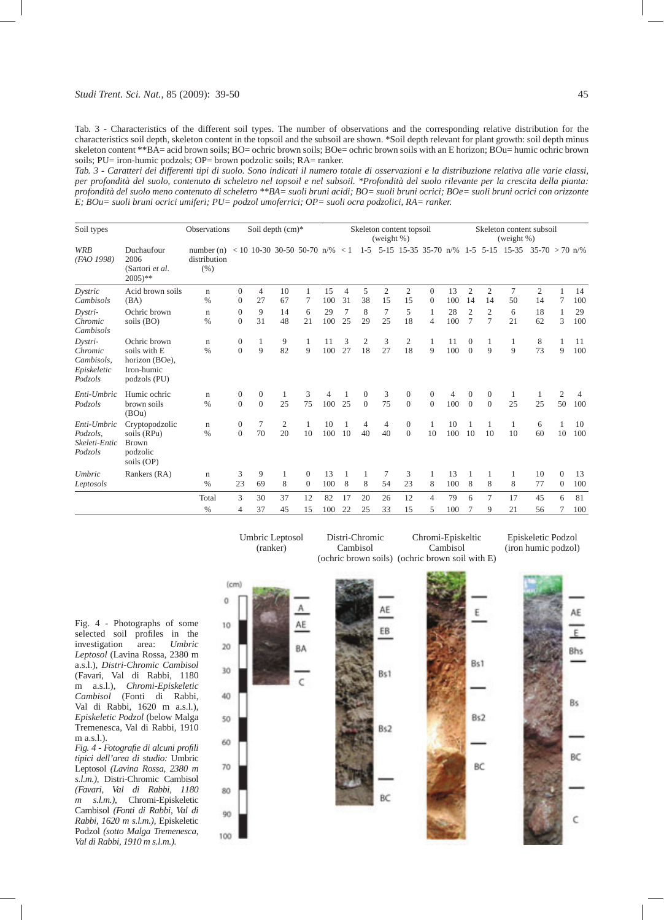#### *Studi Trent. Sci. Nat.*, 85 (2009): 39-50 45

Tab. 3 - Characteristics of the different soil types. The number of observations and the corresponding relative distribution for the characteristics soil depth, skeleton content in the topsoil and the subsoil are shown. \*Soil depth relevant for plant growth: soil depth minus skeleton content \*\*BA= acid brown soils; BO= ochric brown soils; BOe= ochric brown soils with an E horizon; BOu= humic ochric brown soils; PU= iron-humic podzols; OP= brown podzolic soils; RA= ranker.

*Tab. 3 - Caratteri dei differenti tipi di suolo. Sono indicati il numero totale di osservazioni e la distribuzione relativa alle varie classi, per profondità del suolo, contenuto di scheletro nel topsoil e nel subsoil. \*Profondità del suolo rilevante per la crescita della pianta: profondità del suolo meno contenuto di scheletro \*\*BA= suoli bruni acidi; BO= suoli bruni ocrici; BOe= suoli bruni ocrici con orizzonte E; BOu= suoli bruni ocrici umiferi; PU= podzol umoferrici; OP= suoli ocra podzolici, RA= ranker.*

| Soil types                                                 | Observations<br>Soil depth (cm)*                                             |                                      |                                    | Skeleton content topsoil<br>(weight $%$ ) |                      |                          |           | Skeleton content subsoil<br>(weight %) |                          |                      |                                    |                                  |           |                            |                            |                      |                           |                            |           |
|------------------------------------------------------------|------------------------------------------------------------------------------|--------------------------------------|------------------------------------|-------------------------------------------|----------------------|--------------------------|-----------|----------------------------------------|--------------------------|----------------------|------------------------------------|----------------------------------|-----------|----------------------------|----------------------------|----------------------|---------------------------|----------------------------|-----------|
| <b>WRB</b><br>(FAO 1998)                                   | Duchaufour<br>2006<br>(Sartori et al.<br>$2005$ <sup>**</sup>                | number $(n)$<br>distribution<br>(% ) |                                    | $< 10$ 10-30 30-50 50-70 n/%              |                      |                          |           | < 1                                    | $1 - 5$                  |                      | 5-15 15-35 35-70 n/%               |                                  |           |                            | $1-5$ 5-15                 | $15 - 35$            | $35-70 > 70 \text{ n}$ /% |                            |           |
| Dystric<br>Cambisols                                       | Acid brown soils<br>(BA)                                                     | $\mathbf n$<br>$\%$                  | $\overline{0}$<br>$\boldsymbol{0}$ | 4<br>27                                   | 10<br>67             | 7                        | 15<br>100 | $\overline{4}$<br>31                   | 5<br>38                  | $\overline{c}$<br>15 | $\mathfrak{2}$<br>15               | $\overline{0}$<br>$\overline{0}$ | 13<br>100 | $\overline{2}$<br>14       | $\mathfrak{2}$<br>14       | $\overline{7}$<br>50 | $\mathfrak{2}$<br>14      |                            | 14<br>100 |
| Dystri-<br>Chromic<br>Cambisols                            | Ochric brown<br>soils (BO)                                                   | $\mathbf n$<br>$\%$                  | $\mathbf{0}$<br>$\theta$           | 9<br>31                                   | 14<br>48             | 6<br>21                  | 29<br>100 | $\overline{7}$<br>25                   | 8<br>29                  | 7<br>25              | 5<br>18                            | $\mathbf{1}$<br>$\overline{4}$   | 28<br>100 | $\overline{2}$<br>7        | $\mathfrak{2}$<br>7        | 6<br>21              | 18<br>62                  | 3                          | 29<br>100 |
| Dystri-<br>Chromic<br>Cambisols,<br>Episkeletic<br>Podzols | Ochric brown<br>soils with E<br>horizon (BOe),<br>Iron-humic<br>podzols (PU) | $\mathbf n$<br>$\frac{0}{0}$         | $\boldsymbol{0}$<br>$\overline{0}$ | 1<br>9                                    | 9<br>82              | 1<br>$\overline{Q}$      | 11<br>100 | 3<br>27                                | $\mathfrak{2}$<br>18     | 3<br>27              | $\mathfrak{2}$<br>18               | 1<br>$\overline{Q}$              | 11<br>100 | $\theta$<br>$\Omega$       | 1<br>9                     | 1<br>9               | 8<br>73                   | 9                          | 11<br>100 |
| Enti-Umbric<br>Podzols                                     | Humic ochric<br>brown soils<br>(BOu)                                         | $\mathbf n$<br>$\frac{0}{0}$         | 0<br>$\overline{0}$                | $\mathbf{0}$<br>$\overline{0}$            | 1<br>25              | 3<br>75                  | 4<br>100  | 25                                     | $\mathbf{0}$<br>$\theta$ | 3<br>75              | $\boldsymbol{0}$<br>$\overline{0}$ | $\overline{0}$<br>$\theta$       | 4<br>100  | $\theta$<br>$\overline{0}$ | $\overline{0}$<br>$\theta$ | 1<br>25              | 1<br>25                   | 2<br>50                    | 4<br>100  |
| Enti-Umbric<br>Podzols,<br>Skeleti-Entic<br>Podzols        | Cryptopodzolic<br>soils (RPu)<br><b>Brown</b><br>podzolic<br>soils (OP)      | $\mathbf n$<br>$\%$                  | $\boldsymbol{0}$<br>$\overline{0}$ | 7<br>70                                   | $\overline{c}$<br>20 | 1<br>10                  | 10<br>100 | 10                                     | 4<br>40                  | 4<br>40              | $\overline{0}$<br>$\mathbf{0}$     | 1<br>10                          | 10<br>100 | 10                         | 1<br>10                    | 1<br>10              | 6<br>60                   | 10                         | 10<br>100 |
| Umbric<br>Leptosols                                        | Rankers (RA)                                                                 | $\mathbf n$<br>$\%$                  | 3<br>23                            | 9<br>69                                   | 1<br>8               | $\mathbf{0}$<br>$\theta$ | 13<br>100 | 8                                      | 1<br>8                   | 7<br>54              | 3<br>23                            | 8                                | 13<br>100 | 8                          | $\mathbf{1}$<br>8          | 1<br>8               | 10<br>77                  | $\overline{0}$<br>$\theta$ | 13<br>100 |
|                                                            |                                                                              | Total<br>$\%$                        | 3<br>4                             | 30<br>37                                  | 37<br>45             | 12<br>15                 | 82<br>100 | 17<br>22                               | 20<br>25                 | 26<br>33             | 12<br>15                           | $\overline{4}$<br>5              | 79<br>100 | 6                          | 7<br>9                     | 17<br>21             | 45<br>56                  | 6                          | 81<br>100 |

Distri-Chromic

Umbric Leptosol

Fig. 4 - Photographs of some selected soil profiles in the investigation area: *Umbric Leptosol* (Lavina Rossa, 2380 m a.s.l.), *Distri-Chromic Cambisol* (Favari, Val di Rabbi, 1180 m a.s.l.), *Chromi-Episkeletic Cambisol* (Fonti di Rabbi, Val di Rabbi, 1620 m a.s.l.), *Episkeletic Podzol* (below Malga Tremenesca, Val di Rabbi, 1910 m a.s.l.).

*Fig. 4 - Fotografie di alcuni profili tipici dell'area di studio:* Umbric Leptosol *(Lavina Rossa, 2380 m s.l.m.),* Distri-Chromic Cambisol *(Favari, Val di Rabbi, 1180 m s.l.m.),* Chromi-Episkeletic Cambisol *(Fonti di Rabbi, Val di Rabbi, 1620 m s.l.m.),* Episkeletic Podzol *(sotto Malga Tremenesca, Val di Rabbi, 1910 m s.l.m.).*



Chromi-Episkeltic

Episkeletic Podzol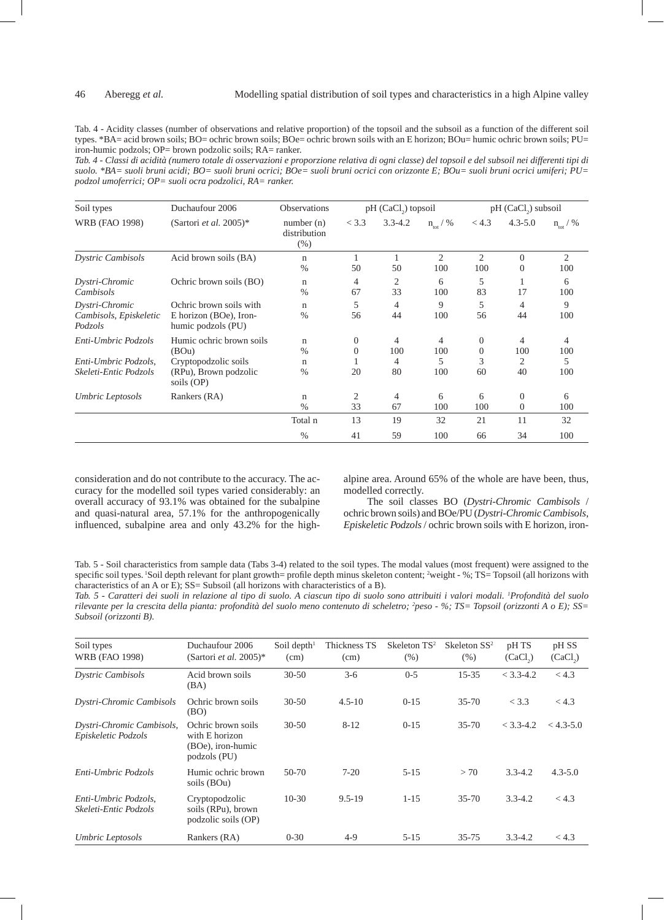Tab. 4 - Acidity classes (number of observations and relative proportion) of the topsoil and the subsoil as a function of the different soil types. \*BA= acid brown soils; BO= ochric brown soils; BOe= ochric brown soils with an E horizon; BOu= humic ochric brown soils; PU= iron-humic podzols; OP= brown podzolic soils; RA= ranker.

*Tab. 4 - Classi di acidità (numero totale di osservazioni e proporzione relativa di ogni classe) del topsoil e del subsoil nei differenti tipi di suolo. \*BA= suoli bruni acidi; BO= suoli bruni ocrici; BOe= suoli bruni ocrici con orizzonte E; BOu= suoli bruni ocrici umiferi; PU= podzol umoferrici; OP= suoli ocra podzolici, RA= ranker.*

| Soil types                                                           | Duchaufour 2006                                                                                  | <b>Observations</b>                                          |                     | pH (CaCl <sub>2</sub> ) topsoil |                       | pH (CaCl <sub>2</sub> ) subsoil         |                            |                      |  |
|----------------------------------------------------------------------|--------------------------------------------------------------------------------------------------|--------------------------------------------------------------|---------------------|---------------------------------|-----------------------|-----------------------------------------|----------------------------|----------------------|--|
| <b>WRB</b> (FAO 1998)                                                | (Sartori et al. 2005)*                                                                           | number(n)<br>distribution<br>$(\% )$                         | < 3.3               | $3.3 - 4.2$                     | $n_{\rm tot}$ / %     | < 4.3                                   | $4.3 - 5.0$                | $n_{\text{tot}}$ / % |  |
| <b>Dystric Cambisols</b>                                             | Acid brown soils (BA)                                                                            | $\mathbf n$<br>$\frac{0}{0}$                                 | 50                  | 50                              | $\overline{2}$<br>100 | 2<br>100                                | $\Omega$<br>$\Omega$       | 2<br>100             |  |
| Dystri-Chromic<br>Cambisols                                          | Ochric brown soils (BO)                                                                          | n<br>$\frac{0}{0}$                                           | 4<br>67             | 2<br>33                         | 6<br>100              | 5<br>83                                 | 17                         | 6<br>100             |  |
| Dystri-Chromic<br>Cambisols, Episkeletic<br>Podzols                  | Ochric brown soils with<br>E horizon (BOe), Iron-<br>humic podzols (PU)                          | $\mathbf n$<br>$\frac{0}{0}$                                 | 5<br>56             | 4<br>44                         | 9<br>100              | 5<br>56                                 | 4<br>44                    | 9<br>100             |  |
| Enti-Umbric Podzols<br>Enti-Umbric Podzols,<br>Skeleti-Entic Podzols | Humic ochric brown soils<br>(BOu)<br>Cryptopodzolic soils<br>(RPu), Brown podzolic<br>soils (OP) | $\mathbf n$<br>$\frac{0}{0}$<br>$\mathbf n$<br>$\frac{0}{0}$ | $\Omega$<br>0<br>20 | 4<br>100<br>4<br>80             | 4<br>100<br>5<br>100  | $\mathbf{0}$<br>$\mathbf{0}$<br>3<br>60 | 4<br>100<br>2<br>40        | 4<br>100<br>5<br>100 |  |
| Umbric Leptosols                                                     | Rankers (RA)                                                                                     | $\mathbf n$<br>$\frac{0}{0}$                                 | 2<br>33             | 4<br>67                         | 6<br>100              | 6<br>100                                | $\overline{0}$<br>$\left($ | 6<br>100             |  |
|                                                                      |                                                                                                  | Total n                                                      | 13                  | 19                              | 32                    | 21                                      | 11                         | 32                   |  |
|                                                                      |                                                                                                  | $\%$                                                         | 41                  | 59                              | 100                   | 66                                      | 34                         | 100                  |  |

consideration and do not contribute to the accuracy. The accuracy for the modelled soil types varied considerably: an overall accuracy of 93.1% was obtained for the subalpine and quasi-natural area, 57.1% for the anthropogenically influenced, subalpine area and only 43.2% for the highalpine area. Around 65% of the whole are have been, thus, modelled correctly.

The soil classes BO (*Dystri-Chromic Cambisols* / ochric brown soils) and BOe/PU (*Dystri-Chromic Cambisols*, *Episkeletic Podzols* / ochric brown soils with E horizon, iron-

Tab. 5 - Soil characteristics from sample data (Tabs 3-4) related to the soil types. The modal values (most frequent) were assigned to the specific soil types. 'Soil depth relevant for plant growth= profile depth minus skeleton content; <sup>2</sup>weight - %; TS= Topsoil (all horizons with characteristics of an A or  $\hat{E}$ ); SS= Subsoil (all horizons with characteristics of a B).

*Tab. 5 - Caratteri dei suoli in relazione al tipo di suolo. A ciascun tipo di suolo sono attribuiti i valori modali. 1 Profondità del suolo rilevante per la crescita della pianta: profondità del suolo meno contenuto di scheletro; 2 peso - %; TS= Topsoil (orizzonti A o E); SS= Subsoil (orizzonti B).*

| Soil types<br><b>WRB</b> (FAO 1998)              | Duchaufour 2006<br>(Sartori et al. 2005)*                                 | Soil depth $1$<br>(cm) | Thickness TS<br>(cm) | Skeleton $TS^2$<br>(% ) | Skeleton $SS^2$<br>(% ) | pH TS<br>(CaCl <sub>2</sub> ) | pH SS<br>(CaCl <sub>2</sub> ) |
|--------------------------------------------------|---------------------------------------------------------------------------|------------------------|----------------------|-------------------------|-------------------------|-------------------------------|-------------------------------|
| <b>Dystric Cambisols</b>                         | Acid brown soils<br>(BA)                                                  | $30 - 50$              | $3-6$                | $0 - 5$                 | $15 - 35$               | $<$ 3.3-4.2                   | < 4.3                         |
| Dystri-Chromic Cambisols                         | Ochric brown soils<br>(BO)                                                | $30 - 50$              | $4.5 - 10$           | $0-15$                  | $35 - 70$               | < 3.3                         | < 4.3                         |
| Dystri-Chromic Cambisols,<br>Episkeletic Podzols | Ochric brown soils<br>with E horizon<br>(BOe), iron-humic<br>podzols (PU) | $30 - 50$              | $8 - 12$             | $0 - 15$                | $35 - 70$               | $<$ 3.3-4.2                   | $< 4.3 - 5.0$                 |
| Enti-Umbric Podzols                              | Humic ochric brown<br>soils (BOu)                                         | $50-70$                | $7 - 20$             | $5 - 15$                | > 70                    | $3.3 - 4.2$                   | $4.3 - 5.0$                   |
| Enti-Umbric Podzols,<br>Skeleti-Entic Podzols    | Cryptopodzolic<br>soils (RPu), brown<br>podzolic soils (OP)               | $10-30$                | $9.5 - 19$           | $1 - 15$                | $35 - 70$               | $3.3 - 4.2$                   | < 4.3                         |
| Umbric Leptosols                                 | Rankers (RA)                                                              | $0 - 30$               | $4-9$                | $5 - 15$                | $35 - 75$               | $3.3 - 4.2$                   | < 4.3                         |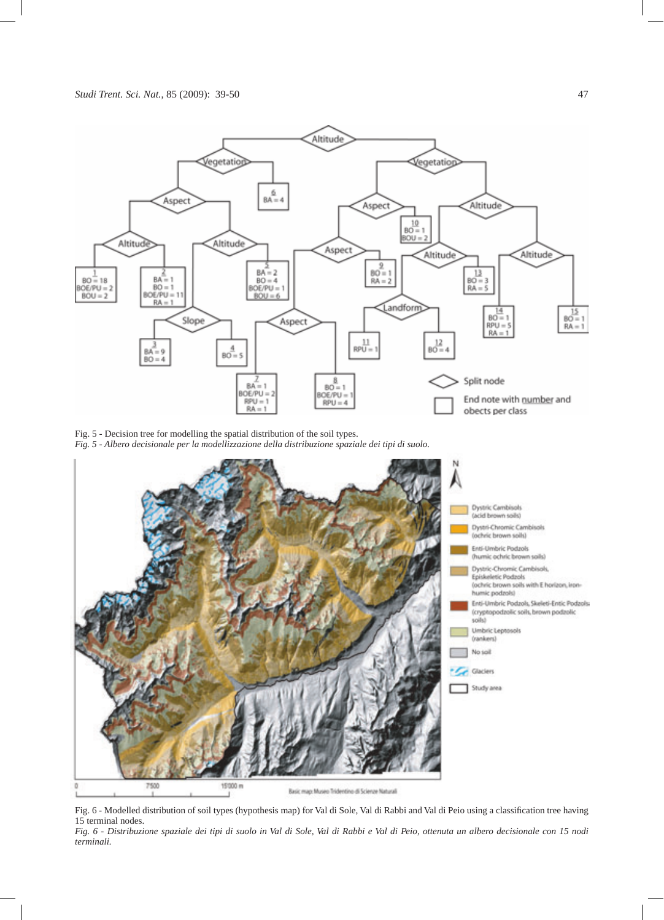

Fig. 5 - Decision tree for modelling the spatial distribution of the soil types. *Fig. 5 - Albero decisionale per la modellizzazione della distribuzione spaziale dei tipi di suolo.*



Fig. 6 - Modelled distribution of soil types (hypothesis map) for Val di Sole, Val di Rabbi and Val di Peio using a classification tree having 15 terminal nodes.

*Fig. 6 - Distribuzione spaziale dei tipi di suolo in Val di Sole, Val di Rabbi e Val di Peio, ottenuta un albero decisionale con 15 nodi terminali.*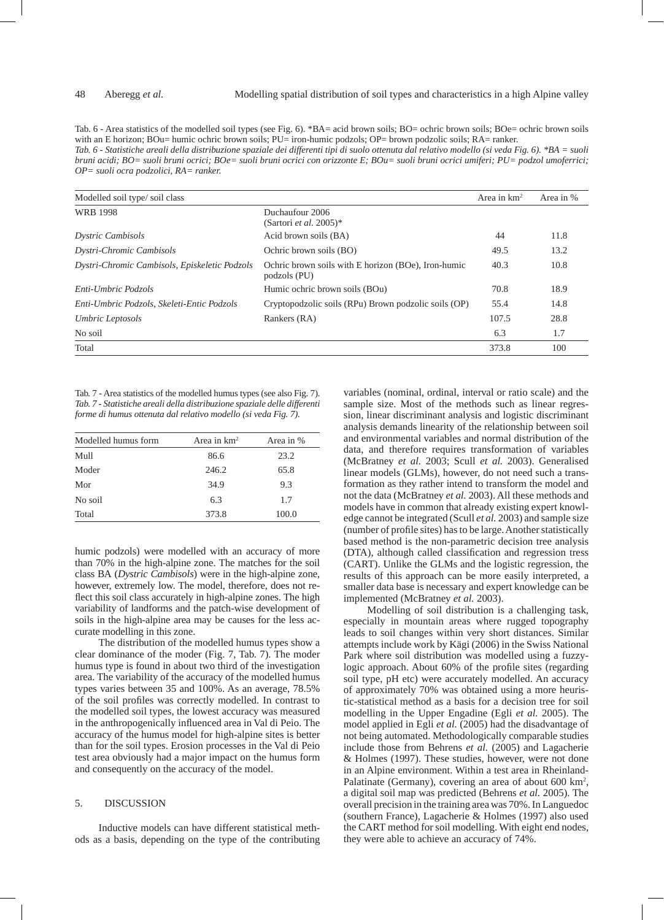Tab. 6 - Area statistics of the modelled soil types (see Fig. 6). \*BA= acid brown soils; BO= ochric brown soils; BOe= ochric brown soils with an E horizon; BOu= humic ochric brown soils; PU= iron-humic podzols; OP= brown podzolic soils; RA= ranker. *Tab. 6 - Statistiche areali della distribuzione spaziale dei differenti tipi di suolo ottenuta dal relativo modello (si veda Fig. 6). \*BA = suoli bruni acidi; BO= suoli bruni ocrici; BOe= suoli bruni ocrici con orizzonte E; BOu= suoli bruni ocrici umiferi; PU= podzol umoferrici; OP= suoli ocra podzolici, RA= ranker.*

| Modelled soil type/soil class                 |                                                                     | Area in $km^2$ | Area in % |
|-----------------------------------------------|---------------------------------------------------------------------|----------------|-----------|
| <b>WRB 1998</b>                               | Duchaufour 2006<br>(Sartori <i>et al.</i> 2005)*                    |                |           |
| <b>Dystric Cambisols</b>                      | Acid brown soils (BA)                                               | 44             | 11.8      |
| Dystri-Chromic Cambisols                      | Ochric brown soils (BO)                                             | 49.5           | 13.2      |
| Dystri-Chromic Cambisols, Episkeletic Podzols | Ochric brown soils with E horizon (BOe), Iron-humic<br>podzols (PU) | 40.3           | 10.8      |
| Enti-Umbric Podzols                           | Humic ochric brown soils (BOu)                                      | 70.8           | 18.9      |
| Enti-Umbric Podzols, Skeleti-Entic Podzols    | Cryptopodzolic soils (RPu) Brown podzolic soils (OP)                | 55.4           | 14.8      |
| Umbric Leptosols                              | Rankers (RA)                                                        | 107.5          | 28.8      |
| No soil                                       |                                                                     | 6.3            | 1.7       |
| Total                                         |                                                                     | 373.8          | 100       |

Tab. 7 - Area statistics of the modelled humus types (see also Fig. 7). *Tab. 7 - Statistiche areali della distribuzione spaziale delle differenti forme di humus ottenuta dal relativo modello (si veda Fig. 7).*

| Modelled humus form | Area in $km^2$ | Area in % |
|---------------------|----------------|-----------|
| Mull                | 86.6           | 23.2      |
| Moder               | 246.2          | 65.8      |
| Mor                 | 34.9           | 9.3       |
| No soil             | 6.3            | 1.7       |
| Total               | 373.8          | 100.0     |

humic podzols) were modelled with an accuracy of more than 70% in the high-alpine zone. The matches for the soil class BA (*Dystric Cambisols*) were in the high-alpine zone, however, extremely low. The model, therefore, does not reflect this soil class accurately in high-alpine zones. The high variability of landforms and the patch-wise development of soils in the high-alpine area may be causes for the less accurate modelling in this zone.

The distribution of the modelled humus types show a clear dominance of the moder (Fig. 7, Tab. 7). The moder humus type is found in about two third of the investigation area. The variability of the accuracy of the modelled humus types varies between 35 and 100%. As an average, 78.5% of the soil profiles was correctly modelled. In contrast to the modelled soil types, the lowest accuracy was measured in the anthropogenically influenced area in Val di Peio. The accuracy of the humus model for high-alpine sites is better than for the soil types. Erosion processes in the Val di Peio test area obviously had a major impact on the humus form and consequently on the accuracy of the model.

# 5. DISCUSSION

Inductive models can have different statistical methods as a basis, depending on the type of the contributing

variables (nominal, ordinal, interval or ratio scale) and the sample size. Most of the methods such as linear regression, linear discriminant analysis and logistic discriminant analysis demands linearity of the relationship between soil and environmental variables and normal distribution of the data, and therefore requires transformation of variables (McBratney *et al.* 2003; Scull *et al.* 2003). Generalised linear models (GLMs), however, do not need such a transformation as they rather intend to transform the model and not the data (McBratney *et al.* 2003). All these methods and models have in common that already existing expert knowledge cannot be integrated (Scull *et al.* 2003) and sample size (number of profile sites) has to be large. Another statistically based method is the non-parametric decision tree analysis (DTA), although called classification and regression tress (CART). Unlike the GLMs and the logistic regression, the results of this approach can be more easily interpreted, a smaller data base is necessary and expert knowledge can be implemented (McBratney *et al.* 2003).

Modelling of soil distribution is a challenging task, especially in mountain areas where rugged topography leads to soil changes within very short distances. Similar attempts include work by Kägi (2006) in the Swiss National Park where soil distribution was modelled using a fuzzylogic approach. About 60% of the profile sites (regarding soil type, pH etc) were accurately modelled. An accuracy of approximately 70% was obtained using a more heuristic-statistical method as a basis for a decision tree for soil modelling in the Upper Engadine (Egli *et al.* 2005). The model applied in Egli *et al.* (2005) had the disadvantage of not being automated. Methodologically comparable studies include those from Behrens *et al.* (2005) and Lagacherie & Holmes (1997). These studies, however, were not done in an Alpine environment. Within a test area in Rheinland-Palatinate (Germany), covering an area of about 600 km<sup>2</sup>, a digital soil map was predicted (Behrens *et al.* 2005). The overall precision in the training area was 70%. In Languedoc (southern France), Lagacherie & Holmes (1997) also used the CART method for soil modelling. With eight end nodes, they were able to achieve an accuracy of 74%.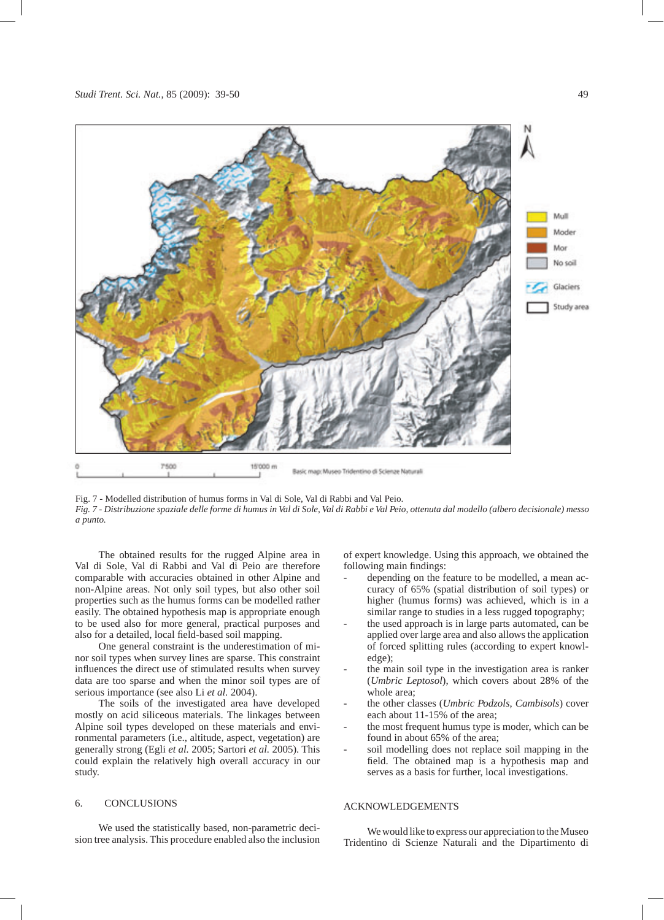

Fig. 7 - Modelled distribution of humus forms in Val di Sole, Val di Rabbi and Val Peio.

*Fig. 7 - Distribuzione spaziale delle forme di humus in Val di Sole, Val di Rabbi e Val Peio, ottenuta dal modello (albero decisionale) messo a punto.*

The obtained results for the rugged Alpine area in Val di Sole, Val di Rabbi and Val di Peio are therefore comparable with accuracies obtained in other Alpine and non-Alpine areas. Not only soil types, but also other soil properties such as the humus forms can be modelled rather easily. The obtained hypothesis map is appropriate enough to be used also for more general, practical purposes and also for a detailed, local field-based soil mapping.

One general constraint is the underestimation of minor soil types when survey lines are sparse. This constraint influences the direct use of stimulated results when survey data are too sparse and when the minor soil types are of serious importance (see also Li *et al.* 2004).

The soils of the investigated area have developed mostly on acid siliceous materials. The linkages between Alpine soil types developed on these materials and environmental parameters (i.e., altitude, aspect, vegetation) are generally strong (Egli *et al.* 2005; Sartori *et al.* 2005). This could explain the relatively high overall accuracy in our study.

# 6. CONCLUSIONS

We used the statistically based, non-parametric decision tree analysis. This procedure enabled also the inclusion of expert knowledge. Using this approach, we obtained the following main findings:

- depending on the feature to be modelled, a mean accuracy of 65% (spatial distribution of soil types) or higher (humus forms) was achieved, which is in a similar range to studies in a less rugged topography;
- the used approach is in large parts automated, can be applied over large area and also allows the application of forced splitting rules (according to expert knowledge);
- the main soil type in the investigation area is ranker (*Umbric Leptosol*), which covers about 28% of the whole area;
- the other classes (*Umbric Podzols*, *Cambisols*) cover each about 11-15% of the area;
- the most frequent humus type is moder, which can be found in about 65% of the area;
- soil modelling does not replace soil mapping in the field. The obtained map is a hypothesis map and serves as a basis for further, local investigations.

# ACKNOWLEDGEMENTS

We would like to express our appreciation to the Museo Tridentino di Scienze Naturali and the Dipartimento di